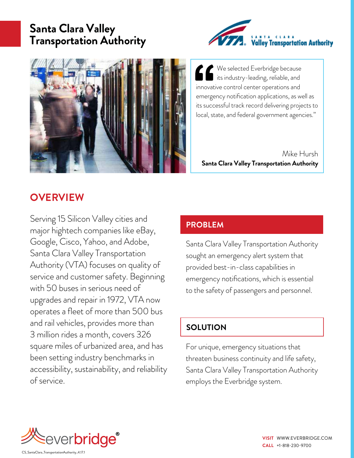# **Santa Clara Valley Transportation Authority**





We selected Everbridge because  $\Box$  its industry-leading, reliable, and innovative control center operations and emergency notification applications, as well as its successful track record delivering projects to local, state, and federal government agencies."

Mike Hursh **Santa Clara Valley Transportation Authority**

## **OVERVIEW**

Serving 15 Silicon Valley cities and major hightech companies like eBay, Google, Cisco, Yahoo, and Adobe, Santa Clara Valley Transportation Authority (VTA) focuses on quality of service and customer safety. Beginning with 50 buses in serious need of upgrades and repair in 1972, VTA now operates a fleet of more than 500 bus and rail vehicles, provides more than 3 million rides a month, covers 326 square miles of urbanized area, and has been setting industry benchmarks in accessibility, sustainability, and reliability of service.

### **PROBLEM**

Santa Clara Valley Transportation Authority sought an emergency alert system that provided best-in-class capabilities in emergency notifications, which is essential to the safety of passengers and personnel.

### **SOLUTION**

For unique, emergency situations that threaten business continuity and life safety, Santa Clara Valley Transportation Authority employs the Everbridge system.